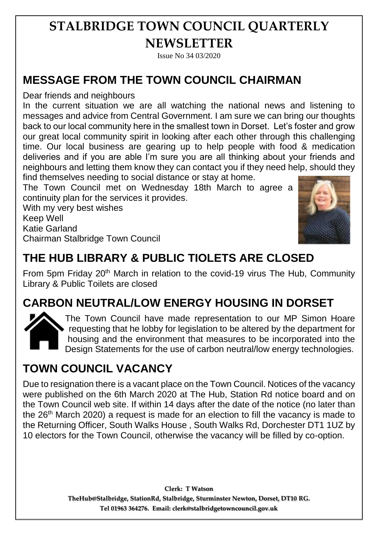# **STALBRIDGE TOWN COUNCIL QUARTERLY NEWSLETTER**

Issue No 34 03/2020

### **MESSAGE FROM THE TOWN COUNCIL CHAIRMAN**

Dear friends and neighbours

In the current situation we are all watching the national news and listening to messages and advice from Central Government. I am sure we can bring our thoughts back to our local community here in the smallest town in Dorset. Let's foster and grow our great local community spirit in looking after each other through this challenging time. Our local business are gearing up to help people with food & medication deliveries and if you are able I'm sure you are all thinking about your friends and neighbours and letting them know they can contact you if they need help, should they find themselves needing to social distance or stay at home.

The Town Council met on Wednesday 18th March to agree a continuity plan for the services it provides.

With my very best wishes Keep Well Katie Garland Chairman Stalbridge Town Council



#### **THE HUB LIBRARY & PUBLIC TIOLETS ARE CLOSED**

From 5pm Friday 20<sup>th</sup> March in relation to the covid-19 virus The Hub, Community Library & Public Toilets are closed

#### **CARBON NEUTRAL/LOW ENERGY HOUSING IN DORSET**



The Town Council have made representation to our MP Simon Hoare requesting that he lobby for legislation to be altered by the department for housing and the environment that measures to be incorporated into the Design Statements for the use of carbon neutral/low energy technologies.

### **TOWN COUNCIL VACANCY**

Due to resignation there is a vacant place on the Town Council. Notices of the vacancy were published on the 6th March 2020 at The Hub, Station Rd notice board and on the Town Council web site. If within 14 days after the date of the notice (no later than the 26<sup>th</sup> March 2020) a request is made for an election to fill the vacancy is made to the Returning Officer, South Walks House , South Walks Rd, Dorchester DT1 1UZ by 10 electors for the Town Council, otherwise the vacancy will be filled by co-option.

> **Clerk: T Watson TheHub@Stalbridge, StationRd, Stalbridge, Sturminster Newton, Dorset, DT10 RG. Tel 01963 364276. Email: clerk@stalbridgetowncouncil.gov.uk**